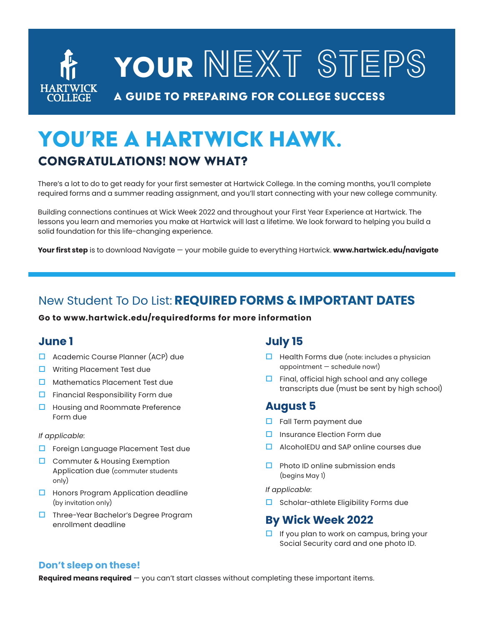# YOUR NEXT STEPS **HARTWICK** A guide to preparing for college success

## YOU'RE A HARTWICK HAWK. Congratulations! Now what?

There's a lot to do to get ready for your first semester at Hartwick College. In the coming months, you'll complete required forms and a summer reading assignment, and you'll start connecting with your new college community.

Building connections continues at Wick Week 2022 and throughout your First Year Experience at Hartwick. The lessons you learn and memories you make at Hartwick will last a lifetime. We look forward to helping you build a solid foundation for this life-changing experience.

**Your first step** is to download Navigate — your mobile guide to everything Hartwick. **www.hartwick.edu/navigate**

## New Student To Do List: **REQUIRED FORMS & IMPORTANT DATES**

**Go to www.hartwick.edu/requiredforms for more information**

## **June 1**

- $\Box$  Academic Course Planner (ACP) due
- $\Box$  Writing Placement Test due
- $\Box$  Mathematics Placement Test due
- $\Box$  Financial Responsibility Form due
- $\Box$  Housing and Roommate Preference Form due

#### *If applicable:*

- $\Box$  Foreign Language Placement Test due
- $\Box$  Commuter & Housing Exemption Application due (commuter students only)
- $\Box$  Honors Program Application deadline (by invitation only)
- $\Box$  Three-Year Bachelor's Degree Program enrollment deadline

## **July 15**

- $\Box$  Health Forms due (note: includes a physician appointment — schedule now!)
- $\Box$  Final, official high school and any college transcripts due (must be sent by high school)

## **August 5**

- $\Box$  Fall Term payment due
- $\square$  Insurance Election Form due
- $\Box$  AlcoholEDU and SAP online courses due
- $\Box$  Photo ID online submission ends (begins May 1)

*If applicable:* 

 $\Box$  Scholar-athlete Eligibility Forms due

## **By Wick Week 2022**

 $\Box$  If you plan to work on campus, bring your Social Security card and one photo ID.

#### **Don't sleep on these!**

**Required means required** — you can't start classes without completing these important items.